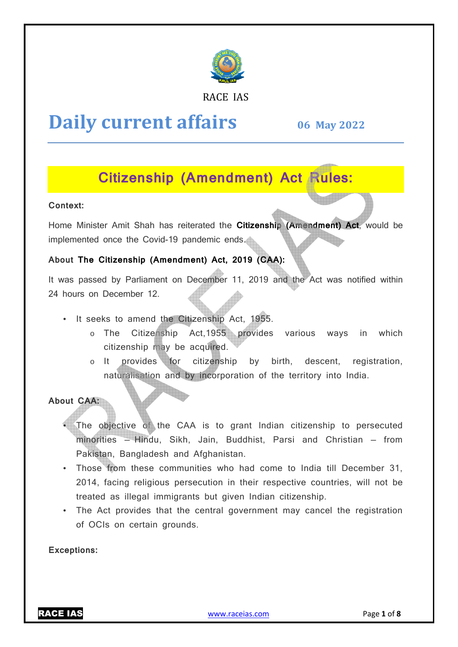

### RACE IAS

# **Daily current affairs**

**06 May May 2022**

# **Citizenship (Amendment) Act Rules:**

### **Context:**

Home Minister Amit Shah has reiterated the **Citizenship (Amendment) Act**, would be implemented once the Covid-19 pandemic ends.

# **About The Citizenship (Amendment) Act, 2019 (CAA) (CAA):**

It was passed by Parliament on December 11, 2019 and the Act was notified within 24 hours on December 12.

- It seeks to amend the Citizenship Act, 1955 1955.
	- o The Citizenship Act,1955 provides various ways in which citizenship may be acquired.
	- o It provides for citizenship by birth, descent, registration, naturalisation and by incorporation of the territory into India.

# **About CAA:**

- The objective of the CAA is to grant Indian citizenship to persecuted minorities – Hindu, Sikh, Jain, Buddhist, Parsi and Christian – from Pakistan, Bangladesh and Afghanistan. zenship may be acquired.<br>
provides for citizenship by birth, descent, regionalisation and by incorporation of the territory into India<br>
ctive of the CAA is to grant Indian citizenship to pe<br>
- Hindu, Sikh, Jain, Buddhist,
- Those from these communities who had come to India till December 31, 2014, facing religious persecution in their respective countries, will not be treated as illegal immigrants but given Indian citizenship.
- The Act provides that the central government may cancel the registration of OCIs on certain grounds.

#### **Exceptions:**

RACE IAS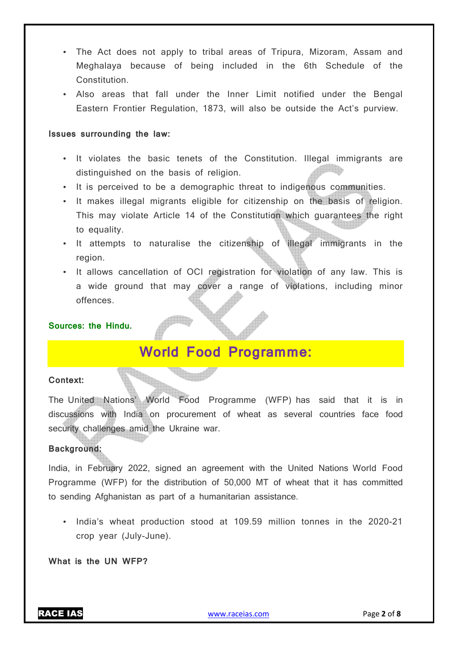- The Act does not apply to tribal areas of Tripura, Mizoram, Assam and Meghalaya because of being included in the 6th Schedule of the Constitution.
- Also areas that fall under the Inner Limit notified under the Bengal Eastern Frontier Regulation, 1873, will also be outside the Act's purview.

#### **Issues surrounding the law:**

- It violates the basic tenets of the Constitution. Illegal immigrants are distinguished on the basis of religion.
- It is perceived to be a demographic threat to indigenous communities.
- It makes illegal migrants eligible for citizenship on the basis of religion. This may violate Article 14 of the Constitution which guarantees the right to equality.
- It attempts to naturalise the citizenship of illegal immigrants in the region.
- It allows cancellation of OCI registration for violation of any law. This is a wide ground that may cover a range of violations, including minor offences.

#### **Sources: the Hindu.**

# **World Food Programme:**

#### **Context:**

The United Nations' World Food Programme (WFP) has said that it is in discussions with India on procurement of wheat as several countries face food security challenges amid the Ukraine war.

### **Background:**

India, in February 2022, signed an agreement with the United Nations World Food Programme (WFP) for the distribution of 50,000 MT of wheat that it has committed to sending Afghanistan as part of a humanitarian assistance.

• India's wheat production stood at 109.59 million tonnes in the 2020-21 crop year (July-June).

**What is the UN WFP?**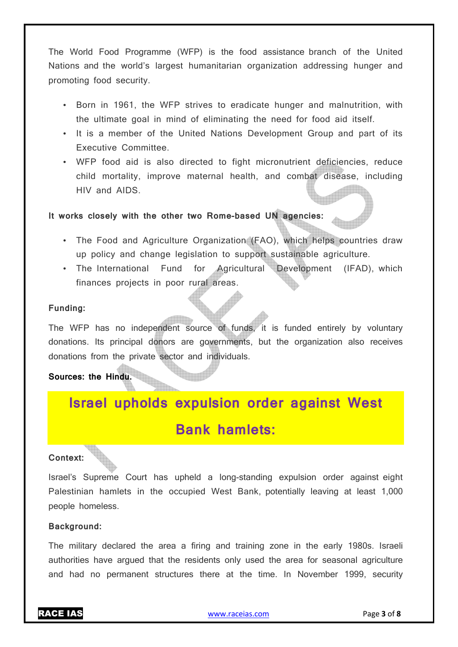The World Food Programme (WFP) is the food assistance branch of the United Nations and the world's largest humanitarian organization addressing hunger and promoting food security.

- Born in 1961, the WFP strives to eradicate hunger and malnutrition, with the ultimate goal in mind of eliminating the need for food aid itself.
- It is a member of the United Nations Development Group and part of its Executive Committee.
- WFP food aid is also directed to fight micronutrient deficiencies, reduce child mortality, improve maternal health, and combat disease, including HIV and AIDS.

### **It works closely with the other two Rome-based UN agencies:**

- The Food and Agriculture Organization (FAO), which helps countries draw up policy and change legislation to support sustainable agriculture.
- The International Fund for Agricultural Development (IFAD), which finances projects in poor rural areas.

#### **Funding:**

The WFP has no independent source of funds, it is funded entirely by voluntary donations. Its principal donors are governments, but the organization also receives donations from the private sector and individuals.

# **Sources: the Hindu.**

# **Israel upholds expulsion order against West Bank hamlets:**

#### **Context:**

Israel's Supreme Court has upheld a long-standing expulsion order against eight Palestinian hamlets in the occupied West Bank, potentially leaving at least 1,000 people homeless.

#### **Background:**

The military declared the area a firing and training zone in the early 1980s. Israeli authorities have argued that the residents only used the area for seasonal agriculture and had no permanent structures there at the time. In November 1999, security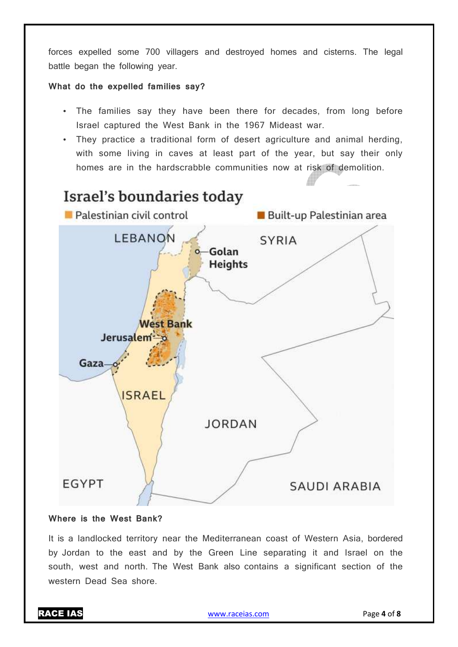forces expelled some 700 villagers and destroyed homes and cisterns. The legal battle began the following year.

#### **What do the expelled families say?**

- The families say they have been there for decades, from long before Israel captured the West Bank in the 1967 Mideast war.
- They practice a traditional form of desert agriculture and animal herding, with some living in caves at least part of the year, but say their only homes are in the hardscrabble communities now at risk of demolition.



### **Where is the West Bank?**

It is a landlocked territory near the Mediterranean coast of Western Asia, bordered by Jordan to the east and by the Green Line separating it and Israel on the south, west and north. The West Bank also contains a significant section of the western Dead Sea shore.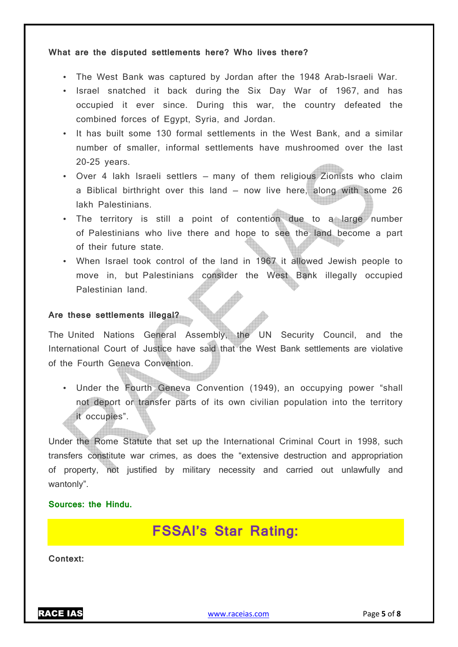#### **What are the disputed settlements here? Who lives there?**

- The West Bank was captured by Jordan after the 1948 Arab-Israeli War.
- Israel snatched it back during the Six Day War of 1967, and has occupied it ever since. During this war, the country defeated the combined forces of Egypt, Syria, and Jordan.
- It has built some 130 formal settlements in the West Bank, and a similar number of smaller, informal settlements have mushroomed over the last 20-25 years.
- Over 4 lakh Israeli settlers many of them religious Zionists who claim a Biblical birthright over this land — now live here, along with some 26 lakh Palestinians.
- The territory is still a point of contention due to a large number of Palestinians who live there and hope to see the land become a part of their future state.
- When Israel took control of the land in 1967 it allowed Jewish people to move in, but Palestinians consider the West Bank illegally occupied Palestinian land.

#### **Are these settlements illegal?**

The United Nations General Assembly, the UN Security Council, and the International Court of Justice have said that the West Bank settlements are violative of the Fourth Geneva Convention.

• Under the Fourth Geneva Convention (1949), an occupying power "shall not deport or transfer parts of its own civilian population into the territory it occupies".

Under the Rome Statute that set up the International Criminal Court in 1998, such transfers constitute war crimes, as does the "extensive destruction and appropriation of property, not justified by military necessity and carried out unlawfully and wantonly".

# **Sources: the Hindu.**

# **FSSAI's Star Rating:**

**Context:**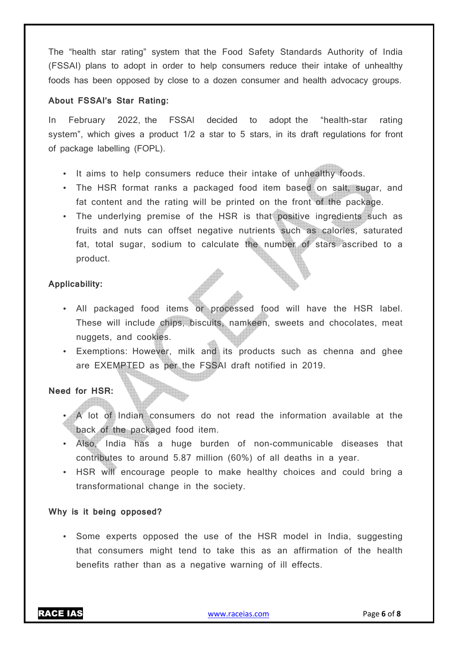The "health star rating" system that the Food Safety Standards Authority of India (FSSAI) plans to adopt in order to help consumers reduce their intake of unhealthy foods has been opposed by close to a dozen consumer and health advocacy groups.

#### **About FSSAI's Star Rating:**

In February 2022, the FSSAI decided to adopt the "health-star rating system", which gives a product 1/2 a star to 5 stars, in its draft regulations for front of package labelling (FOPL).

- It aims to help consumers reduce their intake of unhealthy foods.
- The HSR format ranks a packaged food item based on salt, sugar, and fat content and the rating will be printed on the front of the package.
- The underlying premise of the HSR is that positive ingredients such as fruits and nuts can offset negative nutrients such as calories, saturated fat, total sugar, sodium to calculate the number of stars ascribed to a product.

#### **Applicability:**

- All packaged food items or processed food will have the HSR label. These will include chips, biscuits, namkeen, sweets and chocolates, meat nuggets, and cookies.
- Exemptions: However, milk and its products such as chenna and ghee are EXEMPTED as per the FSSAI draft notified in 2019.

### **Need for HSR:**

- A lot of Indian consumers do not read the information available at the back of the packaged food item.
- Also, India has a huge burden of non-communicable diseases that contributes to around 5.87 million (60%) of all deaths in a year.
- HSR will encourage people to make healthy choices and could bring a transformational change in the society.

#### **Why is it being opposed?**

• Some experts opposed the use of the HSR model in India, suggesting that consumers might tend to take this as an affirmation of the health benefits rather than as a negative warning of ill effects.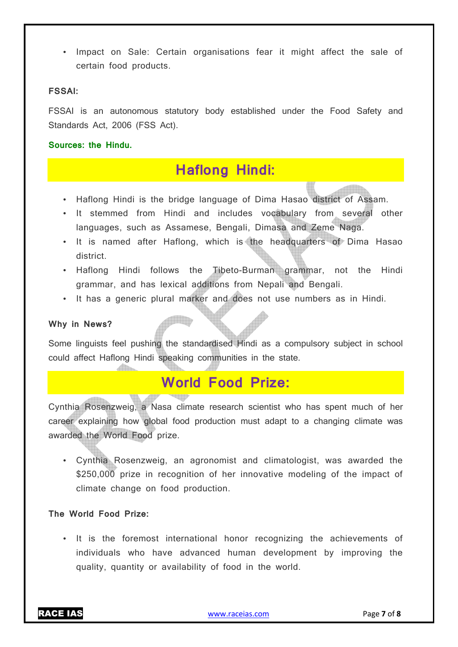• Impact on Sale: Certain organisations fear it might affect the sale of certain food products.

#### **FSSAI:**

FSSAI is an autonomous statutory body established under the Food Safety and Standards Act, 2006 (FSS Act).

**Sources: the Hindu.**

# **Haflong Hindi:**

- Haflong Hindi is the bridge language of Dima Hasao district of Assam.
- It stemmed from Hindi and includes vocabulary from several other languages, such as Assamese, Bengali, Dimasa and Zeme Naga.
- It is named after Haflong, which is the headquarters of Dima Hasao district.
- Haflong Hindi follows the Tibeto-Burman grammar, not the Hindi grammar, and has lexical additions from Nepali and Bengali.
- It has a generic plural marker and does not use numbers as in Hindi.

#### **Why in News?**

Some linguists feel pushing the standardised Hindi as a compulsory subject in school could affect Haflong Hindi speaking communities in the state.

# **World Food Prize:**

Cynthia Rosenzweig, a Nasa climate research scientist who has spent much of her career explaining how global food production must adapt to a changing climate was awarded the World Food prize.

• Cynthia Rosenzweig, an agronomist and climatologist, was awarded the \$250,000 prize in recognition of her innovative modeling of the impact of climate change on food production.

#### **The World Food Prize:**

• It is the foremost international honor recognizing the achievements of individuals who have advanced human development by improving the quality, quantity or availability of food in the world.